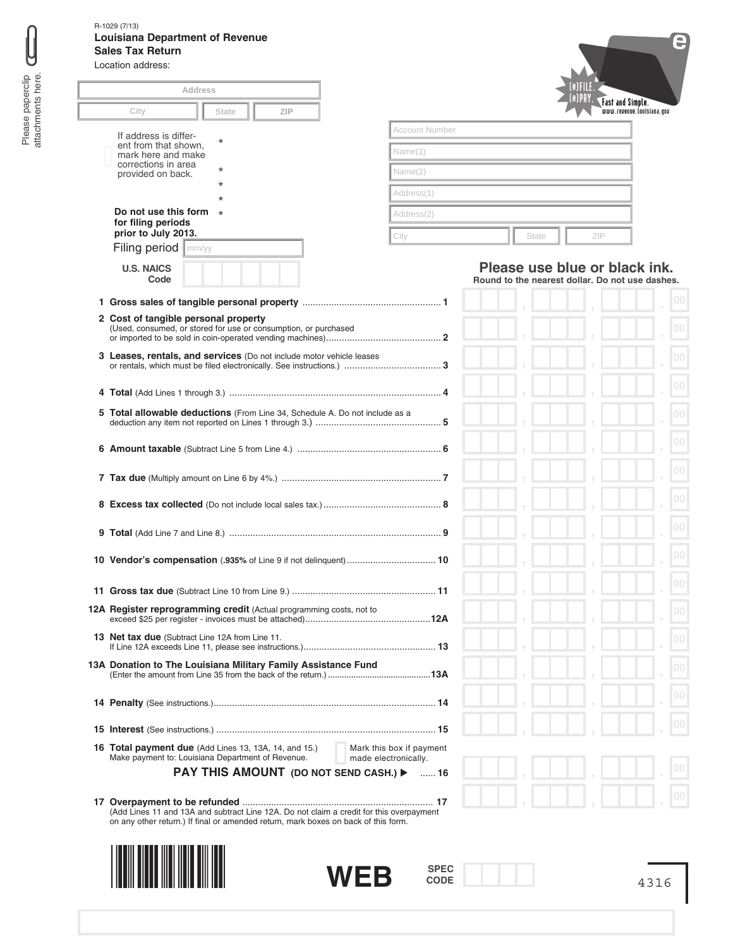| <b>Address</b>                                                               |                    |
|------------------------------------------------------------------------------|--------------------|
| City<br>State<br><b>ZIP</b>                                                  |                    |
|                                                                              | Account Number     |
| If address is differ-<br>$^\star$<br>ent from that shown,                    | Name(1)            |
| mark here and make<br>corrections in area<br>$^\star$                        |                    |
| provided on back.<br>$^\star$                                                | Name(2)            |
| $\star$                                                                      | Address(1)         |
| Do not use this form<br>$\star$<br>for filing periods<br>prior to July 2013. | Address(2)<br>City |
| Filing period  <br>mm/yy                                                     |                    |
| <b>U.S. NAICS</b><br>Code                                                    |                    |
|                                                                              |                    |
| 2 Cost of tangible personal property                                         |                    |
| (Used, consumed, or stored for use or consumption, or purchased              |                    |
| <b>3 Leases, rentals, and services</b> (Do not include motor vehicle leases  |                    |
|                                                                              |                    |
|                                                                              |                    |
| 5 Total allowable deductions (From Line 34, Schedule A. Do not include as a  |                    |
|                                                                              |                    |
|                                                                              |                    |
|                                                                              |                    |
|                                                                              |                    |
|                                                                              |                    |
|                                                                              |                    |
| 12A Register reprogramming credit (Actual programming costs, not to          |                    |
| <b>13 Net tax due</b> (Subtract Line 12A from Line 11.                       |                    |
| 13A Donation to The Louisiana Military Family Assistance Fund                |                    |
|                                                                              |                    |
|                                                                              |                    |

**17 Overpayment to be refunded** ......................................................................... **17** (Add Lines 11 and 13A and subtract Line 12A. Do not claim a credit for this overpayment on any other return.) If final or amended return, mark boxes on back of this form.





**SPEC CODE**

 $[0]$ (e) PAY. Fast and Simple.<br>
www.revenue.louisiana.gov

| State | ZIP |
|-------|-----|
|       |     |

## **Please use blue or black ink. Round to the nearest dollar. Do not use dashes.**

| $\left\vert \right\rangle$ | $\left\vert \right\rangle$ |  | 0 <sub>0</sub>  |
|----------------------------|----------------------------|--|-----------------|
| ÿ                          | ÿ                          |  | 0 <sub>0</sub>  |
| ÿ                          | $\left\vert \right\rangle$ |  | $\overline{00}$ |
| $\frac{1}{2}$              | $\left\vert \right\rangle$ |  | 00              |
| $\frac{1}{2}$              | $\bar{y}$                  |  | 00              |
| ÿ                          | ÿ                          |  | 0 <sub>0</sub>  |
| ÿ                          | ÿ                          |  | 00              |
| ÿ                          | ÿ                          |  | 0 <sub>0</sub>  |
| ÿ                          | ÿ                          |  | 0 <sub>0</sub>  |
| ÿ                          | ÿ                          |  | 0 <sub>0</sub>  |
|                            |                            |  | 0 <sub>0</sub>  |
| ÿ                          | ÿ                          |  | 0 <sub>0</sub>  |
| $\frac{1}{2}$              | $\frac{1}{2}$              |  | 0 <sub>0</sub>  |
| $\frac{1}{2}$              | $\frac{1}{2}$              |  | 0 <sub>0</sub>  |
| $\frac{1}{2}$              | $\frac{1}{2}$              |  | 0 <sub>0</sub>  |
| ÿ                          | ÿ                          |  | $ 00\rangle$    |
| 5                          | ÿ                          |  |                 |
| ÿ                          | ÿ                          |  | 00              |
| ÿ                          | ÿ                          |  | $ 00\rangle$    |